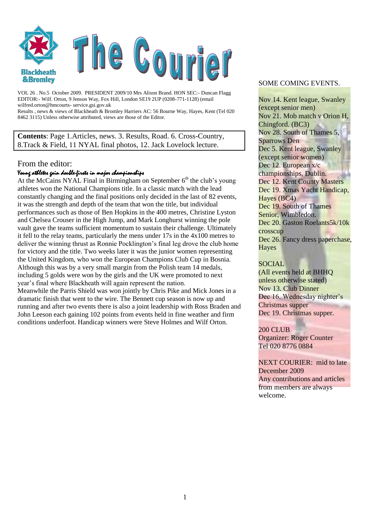

VOL 26 . No.5 October 2009. PRESIDENT 2009/10 Mrs Alison Brand. HON SEC:- Duncan Flagg EDITOR:- Wilf. Orton, 9 Jenson Way, Fox Hill, London SE19 2UP (0208-771-1128) (email wilfred.orton@hmcourts- service.gsi.gov.uk Results , news & views of Blackheath & Bromley Harriers AC: 56 Bourne Way, Hayes, Kent (Tel 020 8462 3115) Unless otherwise attributed, views are those of the Editor.

**Contents**: Page 1.Articles, news. 3. Results, Road. 6. Cross-Country, 8.Track & Field, 11 NYAL final photos, 12. Jack Lovelock lecture.

#### From the editor:

#### Young athletes gain double-firsts in major championships

At the McCains NYAL Final in Birmingham on September  $6<sup>th</sup>$  the club's young athletes won the National Champions title. In a classic match with the lead constantly changing and the final positions only decided in the last of 82 events, it was the strength and depth of the team that won the title, but individual performances such as those of Ben Hopkins in the 400 metres, Christine Lyston and Chelsea Crouser in the High Jump, and Mark Longhurst winning the pole vault gave the teams sufficient momentum to sustain their challenge. Ultimately it fell to the relay teams, particularly the mens under 17s in the 4x100 metres to deliver the winning thrust as Ronnie Pocklington"s final leg drove the club home for victory and the title. Two weeks later it was the junior women representing the United Kingdom, who won the European Champions Club Cup in Bosnia. Although this was by a very small margin from the Polish team 14 medals, including 5 golds were won by the girls and the UK were promoted to next year"s final where Blackheath will again represent the nation. Meanwhile the Parris Shield was won jointly by Chris Pike and Mick Jones in a dramatic finish that went to the wire. The Bennett cup season is now up and running and after two events there is also a joint leadership with Ross Braden and John Leeson each gaining 102 points from events held in fine weather and firm

conditions underfoot. Handicap winners were Steve Holmes and Wilf Orton.

#### SOME COMING EVENTS.

Nov 14. Kent league, Swanley (except senior men) Nov 21. Mob match v Orion H, Chingford. (BC3) Nov 28. South of Thames 5, Sparrows Den Dec 5. Kent league, Swanley (except senior women) Dec 12. European x/c championships, Dublin. Dec 12. Kent County Masters Dec 19. Xmas Yacht Handicap, Hayes (BC4) Dec 19. South of Thames Senior, Wimbledon. Dec 20. Gaston Roelants5k/10k crosscup Dec 26. Fancy dress paperchase, **Hayes** 

#### **SOCIAL**

(All events held at BHHQ unless otherwise stated) Nov 13. Club Dinner Dec 16. Wednesday nighter's Christmas supper Dec 19. Christmas supper.

200 CLUB Organizer: Roger Counter Tel 020 8776 0884

NEXT COURIER: mid to late December 2009 Any contributions and articles from members are always welcome.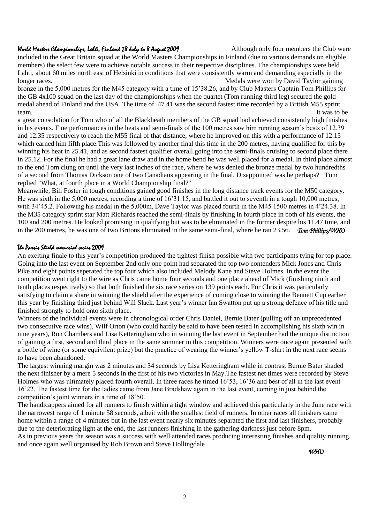#### 2

#### World Marters Championships, Lahti, Finland 28 July to 8 August 2009 Although only four members the Club were

included in the Great Britain squad at the World Masters Championships in Finland (due to various demands on eligible members) the select few were to achieve notable success in their respective disciplines. The championships were held Lahti, about 60 miles north east of Helsinki in conditions that were consistently warm and demanding especially in the longer races. Medals were won by David Taylor gaining

bronze in the 5,000 metres for the M45 category with a time of 15"38.26, and by Club Masters Captain Tom Phillips for the GB 4x100 squad on the last day of the championships when the quartet (Tom running third leg) secured the gold medal ahead of Finland and the USA. The time of 47.41 was the second fastest time recorded by a British M55 sprint team. It was to be the set of the set of the set of the set of the set of the set of the set of the set of the set of the set of the set of the set of the set of the set of the set of the set of the set of the set of the s

a great consolation for Tom who of all the Blackheath members of the GB squad had achieved consistently high finishes in his events. Fine performances in the heats and semi-finals of the 100 metres saw him running season's bests of 12.39 and 12.35 respectively to reach the M55 final of that distance, where he improved on this with a performance of 12.15 which earned him fifth place. This was followed by another final this time in the 200 metres, having qualified for this by winning his heat in 25.41, and as second fastest qualifier overall going into the semi-finals cruising to second place there in 25.12. For the final he had a great lane draw and in the home bend he was well placed for a medal. In third place almost to the end Tom clung on until the very last inches of the race, where he was denied the bronze medal by two hundredths of a second from Thomas Dickson one of two Canadians appearing in the final. Disappointed was he perhaps? Tom replied "What, at fourth place in a World Championship final?"

Meanwhile, Bill Foster in tough conditions gained good finishes in the long distance track events for the M50 category. He was sixth in the 5,000 metres, recording a time of 16"31.15, and battled it out to seventh in a tough 10,000 metres, with 34'45.2. Following his medal in the 5,000m, Dave Taylor was placed fourth in the M45 1500 metres in 4'24.38. In the M35 category sprint star Matt Richards reached the semi-finals by finishing in fourth place in both of his events, the 100 and 200 metres. He looked promising in qualifying but was to be eliminated in the former despite his 11.47 time, and in the 200 metres, he was one of two Britons eliminated in the same semi-final, where he ran 23.56. *Tom Phillips/WHO* 

#### The Parris Shield memorial series 2009

An exciting finale to this year's competition produced the tightest finish possible with two participants tying for top place. Going into the last event on September 2nd only one point had separated the top two contenders Mick Jones and Chris Pike and eight points seperated the top four which also included Melody Kane and Steve Holmes. In the event the competition went right to the wire as Chris came home four seconds and one place ahead of Mick (finishing ninth and tenth places respectively) so that both finished the six race series on 139 points each. For Chris it was particularly satisfying to claim a share in winning the shield after the experience of coming close to winning the Bennett Cup earlier this year by finishing third just behind Will Slack. Last year's winner Ian Swatton put up a strong defence of his title and finished strongly to hold onto sixth place.

Winners of the individual events were in chronological order Chris Daniel, Bernie Bater (pulling off an unprecedented two consecutive race wins), Wilf Orton (who could hardly be said to have been tested in accomplishing his sixth win in nine years), Ron Chambers and Lisa Ketteringham who in winning the last event in September had the unique distinction of gaining a first, second and third place in the same summer in this competition. Winners were once again presented with a bottle of wine (or some equivilent prize) but the practice of wearing the winner"s yellow T-shirt in the next race seems to have been abandoned.

The largest winning margin was 2 minutes and 34 seconds by Lisa Ketteringham while in contrast Bernie Bater shaded the next finisher by a mere 5 seconds in the first of his two victories in May.The fastest net times were recorded by Steve Holmes who was ultimately placed fourth overall. In three races he timed 16'53, 16'36 and best of all in the last event 16"22. The fastest time for the ladies came from Jane Bradshaw again in the last event, coming in just behind the competition"s joint winners in a time of 18"50.

The handicappers aimed for all runners to finish within a tight window and achieved this particularly in the June race with the narrowest range of 1 minute 58 seconds, albeit with the smallest field of runners. In other races all finishers came home within a range of 4 minutes but in the last event nearly six minutes separated the first and last finishers, probably due to the deteriorating light at the end, the last runners finishing in the gathering darkness just before 8pm. As in previous years the season was a success with well attended races producing interesting finishes and quality running, and once again well organised by Rob Brown and Steve Hollingdale

*WHO*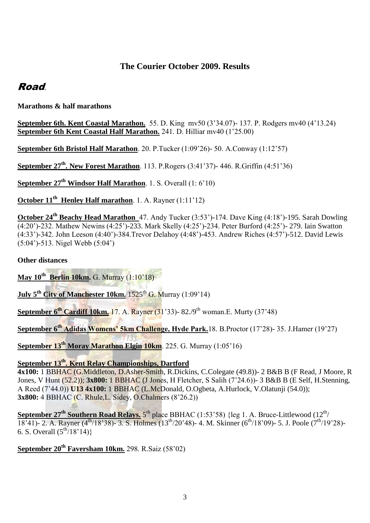## **The Courier October 2009. Results**

## Road.

**Marathons & half marathons**

**September 6th. Kent Coastal Marathon.** 55. D. King mv50 (3"34.07)- 137. P. Rodgers mv40 (4"13.24) **September 6th Kent Coastal Half Marathon.** 241. D. Hilliar mv40 (1'25.00)

**September 6th Bristol Half Marathon**. 20. P.Tucker (1:09"26)- 50. A.Conway (1:12"57)

**September 27th. New Forest Marathon**. 113. P.Rogers (3:41"37)- 446. R.Griffin (4:51"36)

**September 27th Windsor Half Marathon**. 1. S. Overall (1: 6"10)

**October 11<sup>th</sup> Henley Half marathon**. 1. A. Rayner (1:11'12)

**October 24th Beachy Head Marathon** 47. Andy Tucker (3:53")-174. Dave King (4:18")-195. Sarah Dowling (4:20")-232. Mathew Newins (4:25")-233. Mark Skelly (4:25")-234. Peter Burford (4:25")- 279. Iain Swatton (4:33")-342. John Leeson (4:40")-384.Trevor Delahoy (4:48")-453. Andrew Riches (4:57")-512. David Lewis (5:04")-513. Nigel Webb (5:04")

**Other distances**

**May 10th Berlin 10km.** G. Murray (1:10"18)

**July 5<sup>th</sup> City of Manchester 10km.** 1525<sup>th</sup> G. Murray (1:09'14)

**September 6<sup>th</sup> Cardiff 10km.** 17. A. Rayner (31'33)- 82./9<sup>th</sup> woman.E. Murty (37'48)

**September 6th Adidas Womens' 5km Challenge, Hyde Park.**18. B.Proctor (17"28)- 35. J.Hamer (19"27)

**September 13th Moray Marathon Elgin 10km**. 225. G. Murray (1:05"16)

## **September 13th. Kent Relay Championships, Dartford**

**4x100:** 1 BBHAC (G.Middleton, D.Asher-Smith, R.Dickins, C.Colegate (49.8))- 2 B&B B (F Read, J Moore, R Jones, V Hunt (52.2)); **3x800:** 1 BBHAC (J Jones, H Fletcher, S Salih (7"24.6))- 3 B&B B (E Self, H.Stenning, A Reed (7"44.0)) **U13 4x100:** 1 BBHAC (L.McDonald, O.Ogbeta, A.Hurlock, V.Olatunji (54.0)); **3x800:** 4 BBHAC (C. Rhule,L. Sidey, O.Chalmers (8"26.2))

**September 27<sup>th</sup> Southern Road Relays.** 5<sup>th</sup> place BBHAC (1:53'58) {leg 1. A. Bruce-Littlewood (12<sup>th</sup>/ 18'41)- 2. A. Rayner (4<sup>th</sup>/18'38)- 3. S. Holmes (13<sup>th</sup>/20'48)- 4. M. Skinner (6<sup>th</sup>/18'09)- 5. J. Poole (7<sup>th</sup>/19'28)-6. S. Overall  $(5^{th}/18'14)$ }

**September 20th Faversham 10km.** 298. R.Saiz (58"02)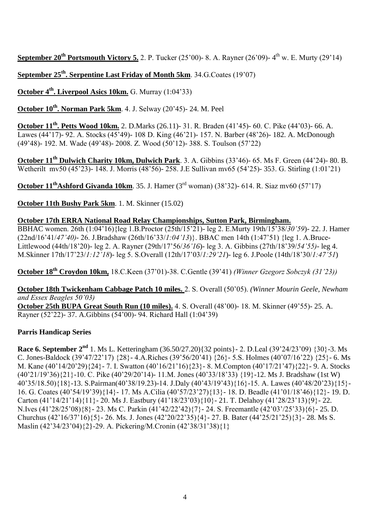**September 20<sup>th</sup> Portsmouth Victory 5.** 2. P. Tucker (25'00)- 8. A. Rayner (26'09)- 4<sup>th</sup> w. E. Murty (29'14)

**September 25th. Serpentine Last Friday of Month 5km**. 34.G.Coates (19"07)

**October 4th. Liverpool Asics 10km.** G. Murray (1:04"33)

**October 10th. Norman Park 5km**. 4. J. Selway (20"45)- 24. M. Peel

**October 11th. Petts Wood 10km.** 2. D.Marks (26.11)- 31. R. Braden (41"45)- 60. C. Pike (44"03)- 66. A. Lawes (44"17)- 92. A. Stocks (45"49)- 108 D. King (46"21)- 157. N. Barber (48"26)- 182. A. McDonough (49"48)- 192. M. Wade (49"48)- 2008. Z. Wood (50"12)- 388. S. Toulson (57"22)

**October 11th Dulwich Charity 10km, Dulwich Park**. 3. A. Gibbins (33"46)- 65. Ms F. Green (44"24)- 80. B. Wetherilt mv50 (45"23)- 148. J. Morris (48"56)- 258. J.E Sullivan mv65 (54"25)- 353. G. Stirling (1:01"21)

**October 11thAshford Givanda 10km**. 35. J. Hamer (3rd woman) (38"32)- 614. R. Siaz mv60 (57"17)

**October 11th Bushy Park 5km**. 1. M. Skinner (15.02)

## **October 17th ERRA National Road Relay Championships, Sutton Park, Birmingham.**

BBHAC women. 26th (1:04"16){leg 1.B.Proctor (25th/15"21)- leg 2. E.Murty 19th/15"38/*30'59*)- 22. J. Hamer (22nd/16"41/*47'40)*- 26. J.Bradshaw (26th/16"33/*1:04'13*)}. BBAC men 14th (1:47"51) {leg 1. A.Bruce-Littlewood (44th/18"20)- leg 2. A. Rayner (29th/17"56/*36'16*)- leg 3. A. Gibbins (27th/18"39/*54'55)*- leg 4. M.Skinner 17th/17"23/*1:12'18*)- leg 5. S.Overall (12th/17"03/*1:29'21*)- leg 6. J.Poole (14th/18"30/*1:47'51*)

**October 18th Croydon 10km,** 18.C.Keen (37"01)-38. C.Gentle (39"41) *(Winner Gzegorz Sobczyk (31'23))*

**October 18th Twickenham Cabbage Patch 10 miles.** 2. S. Overall (50"05). *(Winner Mourin Geele, Newham and Essex Beagles 50'03)* 

**October 25th BUPA Great South Run (10 miles).** 4. S. Overall (48"00)- 18. M. Skinner (49"55)- 25. A. Rayner (52"22)- 37. A.Gibbins (54"00)- 94. Richard Hall (1:04"39)

## **Parris Handicap Series**

**Race 6. September 2nd** 1. Ms L. Ketteringham (36.50/27.20){32 points}- 2. D.Leal (39"24/23"09) {30}-3. Ms C. Jones-Baldock (39'47/22'17) {28}- 4.A.Riches (39'56/20'41)  $\{26\}$ - 5.S. Holmes (40'07/16'22)  $\{25\}$ - 6. Ms M. Kane (40"14/20"29){24}- 7. I. Swatton (40"16/21"16){23}- 8. M.Compton (40"17/21"47){22}- 9. A. Stocks (40"21/19"36){21}-10. C. Pike (40"29/20"14)- 11.M. Jones (40"33/18"33) {19}-12. Ms J. Bradshaw (1st W) 40"35/18.50){18}-13. S.Pairman(40"38/19.23)-14. J.Daly (40"43/19"43){16}-15. A. Lawes (40"48/20"23){15}- 16. G. Coates (40"54/19"39){14}- 17. Ms A.Cilia (40"57/23"27){13}- 18. D. Beadle (41"01/18"46){12}- 19. D. Carton (41"14/21"14){11}- 20. Ms J. Eastbury (41"18/23"03){10}- 21. T. Delahoy (41"28/23"13){9}- 22. N.Ives (41"28/25"08){8}- 23. Ms C. Parkin (41"42/22"42){7}- 24. S. Freemantle (42"03"/25"33){6}- 25. D. Churchus (42"16/37"16){5}- 26. Ms. J. Jones (42"20/22"35){4}- 27. B. Bater (44"25/21"25){3}- 28. Ms S. Maslin (42"34/23"04){2}-29. A. Pickering/M.Cronin (42"38/31"38){1}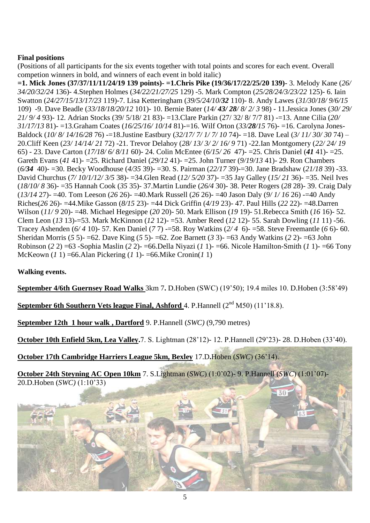## **Final positions**

(Positions of all participants for the six events together with total points and scores for each event. Overall competion winners in bold, and winners of each event in bold italic)

**=1. Mick Jones (37/37/11/11/24/19 139 points)- =1.Chris Pike (19/36/17/22/25/20 139)**- 3. Melody Kane (*26/ 34/20/32/24* 136)- 4.Stephen Holmes (*34/22/21/27/25* 129) -5. Mark Compton (*25/28/24/3/23/22* 125)- 6. Iain Swatton (*24/27/15/13/17/23* 119)-7. Lisa Ketteringham (*39/5/24/10/32* 110)- 8. Andy Lawes (*31/30/18/ 9/6/15* 109) -9. Dave Beadle (*33/18/18/20/12* 101)- 10. Bernie Bater (*14/ 43/ 28/ 8/ 2/ 3* 98) - 11.Jessica Jones (*30/ 29/ 21/ 9/ 4* 93)- 12. Adrian Stocks (39/ 5/18/ 21 83)- =13.Clare Parkin (27/ 32/ 8/ 7/7 81) -=13. Anne Cilia (*20/ 31/17/13* 81)- =13.Graham Coates (*16/25/16/ 10/14* 81)-=16. Wilf Orton (*33/28/15* 76)- =16. Carolyna Jones-Baldock (*10/ 8/ 14/16/28* 76) -=18.Justine Eastbury (*32/17/ 7/ 1/ 7/ 10* 74)- =18. Dave Leal (*3/ 11/ 30/ 30* 74) – 20.Cliff Keen (*23/ 14/14/ 21* 72) -21. Trevor Delahoy (*28/ 13/ 3/ 2/ 16/ 9* 71) -22.Ian Montgomery (*22/ 24/ 19* 65) - 23. Dave Carton (*17/18/ 6/ 8/11* 60)- 24. Colin McEntee (*6/15/ 26* 47)- =25. Chris Daniel (*41* 41)- =25. Gareth Evans (*41* 41)- =25. Richard Daniel (*29/12* 41)- =25. John Turner (*9/19/13* 41)- 29. Ron Chambers (*6/34*40)- =30. Becky Woodhouse (*4/35* 39)- =30. S. Pairman (*22/17* 39)-=30. Jane Bradshaw (*21/18* 39) -33. David Churchus (*7/ 10/1/12/ 3/5* 38)- =34.Glen Read (*12/ 5/20* 37)- =35 Jay Galley (*15/ 21* 36)- =35. Neil Ives (*18/10/ 8* 36)- =35 Hannah Cook (*35* 35)- 37.Martin Lundie (*26/4* 30)- 38. Peter Rogers (*28* 28)- 39. Craig Daly (*13/14* 27)- =40. Tom Leeson (*26* 26)- =40.Mark Russell (*26* 26)- =40 Jason Daly (*9/ 1/ 16* 26) -=40 Andy Riches(*26* 26)- =44.Mike Gasson (*8/15* 23)- =44 Dick Griffin (*4/19* 23)- 47. Paul Hills (*22* 22)- =48.Darren Wilson (*11/ 9* 20)- =48. Michael Hegesippe (*20* 20)- 50. Mark Ellison (*19* 19)- 51.Rebecca Smith (*16* 16)- 52. Clem Leon (*13* 13)-=53. Mark McKinnon (*12* 12)- =53. Amber Reed (*12* 12)- 55. Sarah Dowling (*11* 11) -56. Tracey Ashenden (*6/ 4* 10)- 57. Ken Daniel (*7* 7) -=58. Roy Watkins (*2/ 4* 6)- =58. Steve Freemantle (*6* 6)- 60. Sheridan Morris (*5* 5)- =62. Dave King (*5* 5)- =62. Zoe Barnett (*3* 3)- =63 Andy Watkins (*2* 2)- =63 John Robinson (*2* 2) =63 -Sophia Maslin (*2* 2)- =66.Della Niyazi (*1* 1)- =66. Nicole Hamilton-Smith (*1* 1)- =66 Tony McKeown (*1* 1) =66.Alan Pickering (*1* 1)- =66.Mike Cronin(*1* 1)

### **Walking events.**

**September 4/6th Guernsey Road Walks** 3km 7**.** D.Hoben (SWC) (19"50); 19.4 miles 10. D.Hoben (3:58"49)

**September 6th Southern Vets league Final, Ashford** 4. P. Hannell (2<sup>nd</sup> M50) (11'18.8).

**September 12th 1 hour walk , Dartford** 9. P.Hannell (*SWC)* (9,790 metres)

**October 10th Enfield 5km, Lea Valley.**7. S. Lightman (28"12)- 12. P.Hannell (29"23)- 28. D.Hoben (33"40).

**October 17th Cambridge Harriers League 5km, Bexley** 17.D**.**Hoben (*SWC*) (36"14).

**October 24th Steyning AC Open 10km** 7. S.Lightman (*SWC*) (1:0"02)- 9. P.Hannell (*SWC*) (1:01"07)- 20.D.Hoben (*SWC)* (1:10"33)

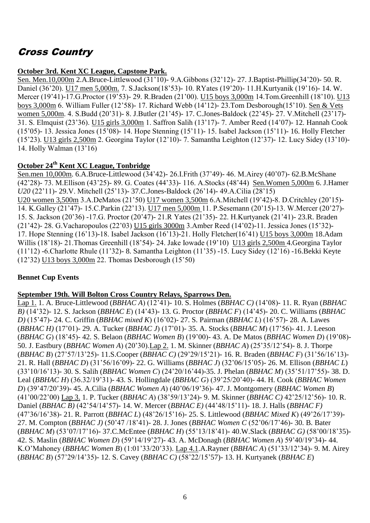# Cross Country

## **October 3rd. Kent XC League, Capstone Park.**

Sen. Men.10,000m 2.A.Bruce-Littlewood (31"10)- 9.A.Gibbons (32"12)- 27. J.Baptist-Phillip(34"20)- 50. R. Daniel (36"20). U17 men 5,000m. 7. S.Jackson(18"53)- 10. RYates (19"20)- 11.H.Kurtyanik (19"16)- 14. W. Mercer (19"41)-17.G.Proctor (19"53)- 29. R.Braden (21"00). U15 boys 3,000m 14.Tom.Greenhill (18"10). U13 boys 3,000m 6. William Fuller (12"58)- 17. Richard Webb (14"12)- 23.Tom Desborough(15"10). Sen & Vets women 5,000m. 4. S.Budd (20"31)- 8. J.Butler (21"45)- 17. C.Jones-Baldock (22"45)- 27. V.Mitchell (23"17)- 31. S. Elmquist (23"36). U15 girls 3,000m 1. Saffron Salih (13"17)- 7. Amber Reed (14"07)- 12. Hannah Cook (15"05)- 13. Jessica Jones (15"08)- 14. Hope Stenning (15"11)- 15. Isabel Jackson (15"11)- 16. Holly Fletcher (15"23). U13 girls 2,500m 2. Georgina Taylor (12"10)- 7. Samantha Leighton (12"37)- 12. Lucy Sidey (13"10)- 14. Holly Walman (13"16)

## **October 24th Kent XC League, Tonbridge**

Sen.men 10,000m. 6.A.Bruce-Littlewood (34"42)- 26.I.Frith (37"49)- 46. M.Airey (40"07)- 62.B.McShane (42"28)- 73. M.Ellison (43"25)- 89. G. Coates (44"33)- 116. A.Stocks (48"44) Sen.Women 5,000m 6. J.Hamer *U20* (22"11)- 29.V. Mitchell (25"13)- 37.C.Jones-Baldock (26"14)- 49.A.Cilia (28"15) U20 women 3,500m 3.A.DeMatos (21"50) U17 women 3,500m 6.A.Mitchell (19"42)-8. D.Critchley (20"15)- 14. K.Galley (21"47)- 15.C.Parkin (22"13). U17 men 5,000m 11. P.Sesemann (20"15)-13. W.Mercer (20"27)- 15. S. Jackson (20"36) -17.G. Proctor (20"47)- 21.R Yates (21"35)- 22. H.Kurtyanek (21"41)- 23.R. Braden (21"42)- 28. G.Vacharopoulos (22"03) U15 girls 3000m 3.Amber Reed (14"02)-11. Jessica Jones (15"32)- 17. Hope Stenning (16"13)-18. Isabel Jackson (16"13)-21. Holly Fletcher(16"41) U15 boys 3,000m 18.Adam Willis (18"18)- 21.Thomas Greenhill (18"54)- 24. Jake Iowade (19"10) U13 girls 2,500m 4.Georgina Taylor (11"12) -6.Charlotte Rhule (11"32)- 8. Samantha Leighton (11"35) -15. Lucy Sidey (12"16) -16.Bekki Keyte (12"32) U13 boys 3,000m 22. Thomas Desborough (15"50)

### **Bennet Cup Events**

### **September 19th. Will Bolton Cross Country Relays, Sparrows Den.**

Lap 1. 1. A. Bruce-Littlewood (*BBHAC A*) (12"41)- 10. S. Holmes (*BBHAC C)* (14"08)- 11. R. Ryan (*BBHAC B)* (14"32)- 12. S. Jackson (*BBHAC E*) (14"43)- 13. G. Proctor (*BBHAC F*) (14"45)- 20. C. Williams (*BBHAC D)* (15"47)- 24. C. Griffin (*BBHAC mixed K*) (16"02)- 27. S. Pairman (*BBHAC L*) (16"57)- 28. A. Lawes (*BBHAC H)* (17"01)- 29. A. Tucker (*BBHAC J*) (17"01)- 35. A. Stocks (*BBHAC M*) (17"56)- 41. J. Leeson (*BBHAC G*) (18"45)- 42. S. Belaon (*BBHAC Women B*) (19"00)- 43. A. De Matos (*BBHAC Women D*) (19"08)- 50. J. Eastbury (*BBHAC Women A*) (20"30).Lap 2. 1. M. Skinner (*BBHAC A*) (25"35/12"54)- 8. J. Thorpe (*BBHAC B*) (27"57/13"25)- 11.S.Cooper (*BBHAC C)* (29"29/15"21)- 16. R. Braden (*BBHAC F*) (31"56/16"13)- 21. R. Hall (*BBHAC D*) (31"56/16"09)- 22. G. Williams (*BBHAC J*) (32"06/15"05)- 26. M. Ellison (*BBHAC L*) (33"10/16"13)- 30. S. Salih (*BBHAC Women C*) (24"20/16"44)-35. J. Phelan (*BBHAC M*) (35"51/17"55)- 38. D. Leal (*BBHAC H*) (36.32/19"31)- 43. S. Hollingdale (*BBHAC G*) (39"25/20"40)- 44. H. Cook (*BBHAC Women D*) (39"47/20"39)- 45. A.Cilia (*BBHAC Women A*) (40"06/19"36)- 47. J. Montgomery (*BBHAC Women B*) (41"00/22"00) Lap 3. 1. P. Tucker (*BBHAC A*) (38"59/13"24)- 9. M. Skinner (*BBHAC C)* 42"25/12"56)- 10. R. Daniel (*BBHAC B)* (42"54/14"57)- 14. W. Mercer (*BBHAC E)* (44"48/15"11)- 18. J. Halls (*BBHAC F)* (47"36/16"38)- 21. R. Parrott (*BBHAC L*) (48"26/15"16)- 25. S. Littlewood (*BBHAC Mixed K*) (49"26/17"39)- 27. M. Compton (*BBHAC J)* (50"47 /18"41)- 28. J. Jones (*BBHAC Women C* (52"06/17"46)- 30. B. Bater (*BBHAC M*) (53"07/17"16)- 37.C.McEntee (*BBHAC H*) (55"13/18"41)- 40.W.Slack (*BBHAC G)* (58"00/18"35)- 42. S. Maslin (*BBHAC Women D*) (59"14/19"27)- 43. A. McDonagh (*BBHAC Women A*) 59"40/19"34)- 44. K.O"Mahoney (*BBHAC Women B*) (1:01"33/20"33). Lap 4.1.A.Rayner (*BBHAC A*) (51"33/12"34)- 9. M. Airey (*BBHAC B*) (57"29/14"35)- 12. S. Cavey (*BBHAC C)* (58"22/15"57)- 13. H. Kurtyanek (*BBHAC E*)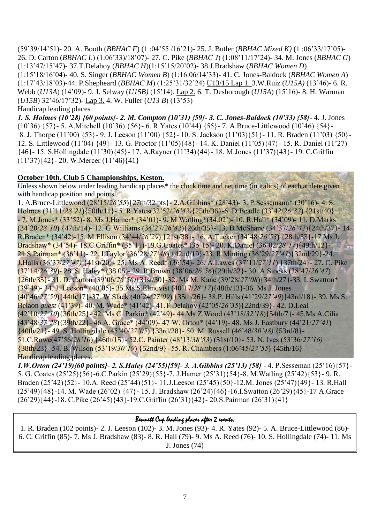(59"39/14"51)- 20. A. Booth (*BBHAC F*) (1 :04"55 /16"21)- 25. J. Butler (*BBHAC Mixed K)* (1 :06"33/17"05)- 26. D. Carton (*BBHAC L*) (1:06"33)/18"07)- 27. C. Pike (*BBHAC J*) (1:08"11/17"24)- 34. M. Jones (*BBHAC G*) (1:13"47/15"47)- 37.T.Delahoy (*BBHAC H*)(1:15"15/20"02)- 38.J.Bradshaw (*BBHAC Women D*) (1:15"18/16"04)- 40. S. Singer (*BBHAC Women B*) (1:16.06/14"33)- 41. C. Jones-Baldock (*BBHAC Women A*) (1:17"43/18"03)-44. P.Shepheard (*BBHAC M*) (1:25"31/32"24) U13/15 Lap 1. 3.W.Ruiz (*U15A)* (13"46)- 6. R. Webb (*U13A*) (14"09)- 9. J. Selway (*U15B)* (15"14). Lap 2. 6. T. Desborough (*U15A*) (15"16)- 8. H. Warman (*U15B*) 32"46/17"32)- Lap 3. 4. W. Fuller (*U13 B*) (13"53)

#### Handicap leading places

*1. S. Holmes (10'28) {60 points}- 2. M. Compton (10'31) {59}- 3. C. Jones-Baldock (10'33) {58}*- 4. J. Jones (10"36) {57}- 5. A.Mitchell (10"36) {56}- 6. R.Yates (10"44) {55}- 7. A.Bruce-Littlewood (10"46) {54}- 8. J. Thorpe (11"00) {53}- 9. J. Leeson (11"00) {52}- 10. S. Jackson (11"03){51}- 11. R. Braden (11"03) {50}- 12. S. Littlewood (11"04) {49}- 13. G. Proctor (11"05){48}- 14. K. Daniel (11"05){47}- 15. R. Daniel (11"27) {46}- 15. S.Hollingdale (11"30){45}- 17. A.Rayner (11"34){44}- 18. M.Jones (11"37){43}- 19. C.Griffin  $(11'37)\{42\}$  - 20. W. Mercer  $(11'46)\{41\}$ 

### **October 10th. Club 5 Championships, Keston.**

Unless shown below under leading handicap places<sup>\*</sup> the clock time and net time (in italics) of each athlete given with handicap position and points.

1. A.Bruce-Littlewood (28"15/*26'55*){27th/32 pts}- 2.A.Gibbins\* (28"43)- 3. P.Sessemann\* (30"16)- 4. S. Holmes (31"11/*28'21*){50th/11}- 5. R.Yates(32"52/*26'42)*{25th/36}-6. D.Beadle (33"42/*26'32*) {21st/40} - 7. M.Jones\* (33"52)- 8. Ms J.Hamer\* (34"01)- 9. M.Watling\*(34.02")- 10. R.Hall\* (34"09)- 11. D.Marks (34"20/*28'10*) {47th/14)- 12. G.Williams (34"27*/26'42*){26th/35}- 13. B.McShane (34"37/*26'42*){24th/37}- 14. R.Braden\* (34"42)-15. M.Ellison (34"44/*26'29*) {21st/38}- 16. A.Tucker (34"48/*26'53*) {28th/33}-17.Ms J. Bradshaw\* (34"54)- 18.C.Griffin\* (35"11)-19.G.Coates\* (35"15)- 20. K.Daniel (36"02/*28'17*){49th/12}- 21.S.Pairman\* (36"11)- 22. I.Taylor (36"28/*27'48*) {42nd/19}-23. R.Minting (36"29/*27'41*){32nd/29}-24. J.Halls (36"37/*27'47)* {41st/20}- 25. Ms A. Reed\* (36"54)- 26. A.Lawes (37"11/*27'11*) {37th/24}- 27. C. Pike (37"14/*26'39*)- 28. S. Haley\* (38.05)- 29. R.Brown (38"06/*26'56*){29th/32}- 30. A.Stocks (38"47/*26'47*) {26th/35}- 31. D. Carton (39"06/*26'56)*{31st/30}-32. Ms M. Kane (39"28/*27'08*){34th/27}-33. I. Swatton\* (39"49)- 34. J. Leeson\* (40"05)- 35.Ms S.Elmqvist (40"17/*28'17*){48th/13}-36. Ms J. Jones (40"46/*27'50*){44th/17}-37. W.Slack (40"24/*27'09*) {35th/26}- 38.P. Hills (41"29/*27'49*){43rd/18}- 39. Ms S. Belaon *guest* (41"39)- 40. M. Wade\* (41"42)- 41.T.Delahoy (42"05/*26'35*){22nd/39}- 42. D.Leal (42"10/*27'10*){36th/25}- 42. Ms C. Parkin\* (42"49)- 44.Ms Z.Wood (43"18/*32'18*){54th/7}- 45.Ms A.Cilia (43"48/*37'28*){39th/22}- 46.A. Grace\* (44"09)- 47 W. Orton\* (44"19)- 48. Ms J. Eastbury (44"21/*27'41*) {40th/21}- 49. S. Hollingdale (45"40/*27'05*) {33rd/28}- 50. M. Russell (46"48/*30'48)* {53rd/8}- 51.C.Rowe(47"56/*28'10*) {46th/15}- 52.C. Painter (48"13/*38'53*) (51st/10}- 53. N. Ives (53"36/*27'16)* {38th/23}- 54. B. Wilson (53"19/*30'19*) {52nd/9}- 55. R. Chambers (1:06"45/*27'55*) {45th/16} Handicap leading places.

*1.W.Orton (24'19){60 points}- 2. S.Haley (24'55){59}- 3. A.Gibbins (25'13) {58}* - 4. P.Sesseman (25"16){57}- 5. G. Coates (25"25){56}-6.C.Parkin (25"29){55}-7. J.Hamer (25"31){54}-8. M.Watling (25"42){53}- 9. R. Braden (25"42){52}- 10.A. Reed (25"44){51}- 11.J.Leeson (25"45){50}-12.M. Jones (25"47){49}- 13. R.Hall (25"49){48}-14. M. Wade (26"02) {47}- 15. J. Bradshaw (26"24){46}-16.I.Swatton (26"29){45}-17 A.Grace (26"29){44}-18. C.Pike (26"45){43}-19.C.Griffin (26"31){42}- 20.S.Pairman (26"31){41}

### Bennett Cup leading places after 2 events.

1. R. Braden (102 points)- 2. J. Leeson (102)- 3. M. Jones (93)- 4. R. Yates (92)- 5. A. Bruce-Littlewood (86)- 6. C. Griffin (85)- 7. Ms J. Bradshaw (83)- 8. R. Hall (79)- 9. Ms A. Reed (76)- 10. S. Hollingdale (74)- 11. Ms J. Jones (74)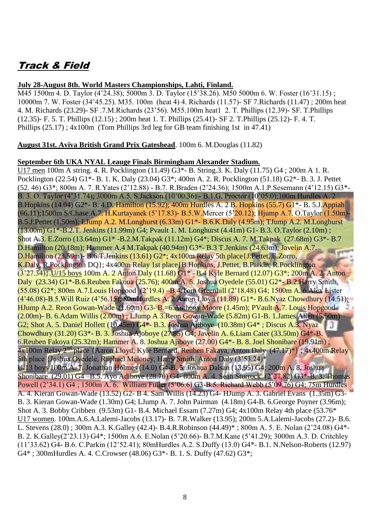# Track & Field

### **July 28-August 8th. World Masters Championships, Lahti, Finland.**

M45 1500m 4. D. Taylor (4"24.38); 5000m 3. D. Taylor (15"38.26). M50 5000m 6. W. Foster (16"31.15) ; 10000m 7. W. Foster (34"45.25). M35. 100m (heat 4) 4. Richards (11.57)- SF 7.Richards (11.47) ; 200m heat 4. M. Richards (23.29)- SF .7.M.Richards (23"56). M55.100m heat1 2. T. Phillips (12.39)- SF. T.Phillips (12.35)- F. 5. T. Phillips (12.15) ; 200m heat 1. T. Phillips (25.41)- SF 2. T.Phillips (25.12)- F. 4. T. Phillips (25.17) ; 4x100m (Tom Phillips 3rd leg for GB team finishing 1st in 47.41)

**August 31st. Aviva British Grand Prix Gateshead**. 100m 6. M.Douglas (11.82)

#### **September 6th UKA NYAL Leauge Finals Birmingham Alexander Stadium.**

U17 men 100m A string. 4. R. Pocklington (11.49) G3\*- B. String.3. K. Daly (11.75) G4 ; 200m A 1. R. Pocklington (22.54) G1\*- B. 1. K. Daly (23.04) G3\*; 400m A. 2. R. Pocklington (51.18) G2\*- B. 3. J. Pettet (52. 46) G3\*; 800m A. 7. R.Yates (2"12.88) - B.7. R.Braden (2"24.36); 1500m A.1.P.Sesemann (4"12.15) G3\*- B. 3. O. Taylor (4"31.74); 3000m A.5. S.Jackson (10"00.36) - B.1.G. Proctor (10"05.0);100m Hurdles A. 2 B.Hopkins (14.04) G2<sup>\*</sup>- B. 4.D. Hamilton (15.92); 400m Hurdles A. 2 B. Hopkins (55.7) G1<sup>\*</sup>- B. 5.J. Appiah (66.11);1500m S/Chase A.7. H.Kurtayanek (5"17.83)- B.5.W.Mercer (5"20.12); Hjump A.7. O.Taylor (1.50m)- B.5.J.Pettet (1.50m); LJump A.2. M.Longhurst (6.33m) G1\*- B.6.K.Daly (4.95m); TJump A.2. M.Longhurst (13.00m) G1\*-B.2.T. Jenkins (11.99m) G4; Pvault 1. M. Longhurst (4.41m) G1- B.3. O.Taylor (2.10m) ; Shot A.3. E.Zorro (13.64m) G1\* -B.2.M.Takpak (11.12m) G4\*; Discus A. 7. M.Takpak (27.68m) G3\*- B.7 D.Hamilton (20.18m); Hammer A.4 M.Takpak (40.94m) G3\*- B.3 T.Jenkins (24.63m); Javelin A.7. D.Hamilton (23.59m)- B.6.T.Jenkins (13.61) G2\*; 4x100m Relay 5th place{J.Pettet, E.Zorro, K.Daly, R.Pocklington DQ}; 4x400m Relay 1st place{B.Hopkins, J.Pettet, B.Parkin, R.Pocklington (3"27.34)}.U/15 boys 100m A. 2 Anton Daly (11.68) G1\* –B.4 Kyle Bernard (12.07) G3\*; 200m A. 2. Anton Daly (23.34) G1\*-B.6.Reuben Fakoua (25.76); 400m A. 5. Joshua Oyedele (55.01) G2\*- B.2.Harry Smith (55.08) G2\*; 800m A.7.Louis Hopgood (2"19.4) –B.4.Tom Greenhill (2"18.48) G4; 1500m A. 6.Alex Lister (4"46.08)-B.5.Will Ruiz (4"56.15); 80mHurdles A. 2.Aaron Lloyd (11.89) G1\*- B.6.Nyaz Chowdhury (14.51); HJump A.2. Reon Gowan-Wade (1.60m) G3- B.=6.Anthony Moore (1.45m); PVault A.7. Louis Hopgood (2.00m)- B. 6.Adam Willis (2.00m) ; LJump A 3.Reon Gowan-Wade (5.82m) G1-B. 1.James Allen (5.50m) G2; Shot A. 5. Daniel Hollett (10.45m) G4\*- B.3. Joshua Ajiboye (10.38m) G4\* ; Discus A.3. Nyaz 31 Chowdhury (31.20) G3\*- B. 3. Joshua Ajoboye (27.85) G4; Javelin A. 6.Liam Cater (33.50m) G4\*-B. 6.Reuben Fakoya (25.32m); Hammer A. 8. Joshua Ajiboye (27.00) G4\*- B. 8. Joel Shonibare (19.91m) ; 4x100m Relay 2<sup>nd</sup> place {Aaron Lloyd, Kyle Bernard, Reuben Fakaya, Anton Daly (47.17)\*}; 4x400m Relay 5th place {Joshua Oyedele, Raphael Meloney, Harry Smith, Anton Daly (3'53.24)\* U/13 boys 100m A. 7. Jonathan Holmes (14.0) G4-B. 5. Joshua Dalsan (13.95) G4; 200m A. 8. Joshua Shonibare (29.01) G4 –B.5. Ayo Adiboye (28.70) G4- 800m A. 4. Sean Sturrock (2"27.82) G3\*-B. 3. Thomas Powell (2"34.1) G4 ; 1500m A. 6. William Fuller (5"06.6) G3-B.5. Richard Webb (5"09.76) G4; 75m Hurdles A. 4. Kieran Gowan-Wade (13.52) G2- B 4. Sam Willis (14.23) G4- HJump A. 3. Gabriel Evans (1.35m) G3- B. 3. Kieran Gowan-Wade (1.30m) G4; LJump A. 7. John Pairman (4.18m) G4-B. 6.George Poyner (3.96m); Shot A. 3. Bobby Cribben (9.53m) G1- B.4. Michael Essam (7.27m) G4; 4x100m Relay 4th place (53.76\* U17 women. 100m.A.6.A.Lalemi-Jacobs (13.17)- B. 7.R.Walker (13.95); 200m 5.A.Lalemi-Jacobs (27.2)- B.6. L. Stevens (28.0) ; 300m A.3. K.Galley (42.4)- B.4.R.Robinson (44.49)\* ; 800m A. 5. E. Nolan (2"24.08) G4\*- B. 2. K.Galley(2"23.13) G4\*; 1500m A.6. E.Nolan (5"20.66)- B.7.M.Kane (5"41.29); 3000m A.3. D. Critchley (11"33.62) G4- B.6. C.Parkin (12"52.41); 80mHurdles A.2. S.Duffy (13.0) G4\*- B.1. N.Nelson-Roberts (12.97) G4\* ; 300mHurdles A. 4. C.Crowser (48.06) G3\*- B. 1. S. Duffy (47.62) G3\*;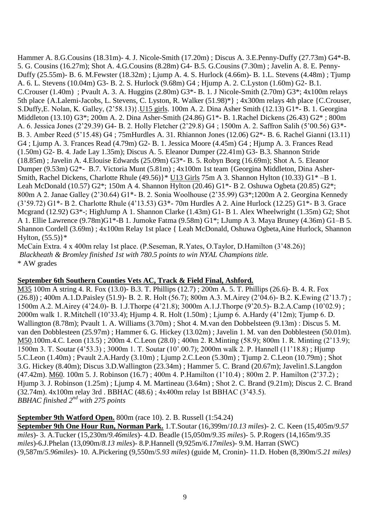Hammer A. 8.G.Cousins (18.31m)- 4. J. Nicole-Smith (17.20m) ; Discus A. 3.E.Penny-Duffy (27.73m) G4\*-B. 5. G. Cousins (16.27m); Shot A. 4.G.Cousins (8.28m) G4- B.5. G.Cousins (7.30m) ; Javelin A. 8. E. Penny-Duffy (25.55m)- B. 6. M.Fewster (18.32m) ; Ljump A. 4. S. Hurlock (4.66m)- B. 1.L. Stevens (4.48m) ; Tjump A. 6. L. Stevens (10.04m) G3- B. 2. S. Hurlock (9.68m) G4 ; Hjump A. 2. C.Lyston (1.60m) G2- B.1. C.Crouser  $(1.40m)$ ; Pvault A. 3. A. Huggins  $(2.80m) G3^*$ - B. 1. J Nicole-Smith  $(2.70m) G3^*$ ;  $4x100m$  relays 5th place {A.Lalemi-Jacobs, L. Stevens, C. Lyston, R. Walker (51.98)\*} ; 4x300m relays 4th place {C.Crouser, S.Duffy,E. Nolan, K. Galley, (2"58.13)}.U15 girls. 100m A. 2. Dina Asher Smith (12.13) G1\*- B. 1. Georgina Middleton (13.10) G3\*; 200m A. 2. Dina Asher-Smith (24.86) G1\*- B. 1.Rachel Dickens (26.43) G2\* ; 800m A. 6. Jessica Jones (2"29.39) G4- B. 2. Holly Fletcher (2"29.8) G4 ; 1500m A. 2. Saffron Salih (5"00.56) G3\*- B. 3. Amber Reed (5"15.48) G4 ; 75mHurdles A. 31. Rhiannon Jones (12.06) G2\*- B. 6. Rachel Gianni (13.11) G4 ; Ljump A. 3. Frances Read (4.79m) G2- B. 1. Jessica Moore (4.45m) G4 ; Hjump A. 3. Frances Read (1.50m) G2- B. 4. Jade Lay 1.35m); Discus A. 5. Eleanor Dumper (22.41m) G3- B.3. Shannon Stride (18.85m) ; Javelin A. 4.Elouise Edwards (25.09m) G3\*- B. 5. Robyn Borg (16.69m); Shot A. 5. Eleanor Dumper (9.53m) G2\*- B.7. Victoria Munt (5.81m) ; 4x100m 1st team {Georgina Middleton, Dina Asher-Smith, Rachel Dickens, Charlotte Rhule (49.56)}\* U13 Girls 75m A 3. Shannon Hylton (10.33) G1\* –B 1. Leah McDonald (10.57) G2\*; 150m A 4. Shannon Hylton (20.46) G1\*- B 2. Oshuwa Ogbeta (20.85) G2\*; 800m A 2. Janae Galley (2"30.64) G1\*- B. 2. Sonia Woolhouse (2"35.99) G3\*;1200m A 2. Georgina Kennedy (3"59.72) G1\*- B 2. Charlotte Rhule (4"13.53) G3\*- 70m Hurdles A 2. Aine Hurlock (12.25) G1\*- B 3. Grace Mcgrand (12.92) G3\*-; HighJump A 1. Shannon Clarke (1.43m) G1- B 1. Alex Wheelwright (1.35m) G2; Shot A 1. Ellie Lawrence (9.78m)G1\*-B 1. Jumoke Fatma (9.58m) G1\*; LJump A 3. Maya Bruney (4.36m) G1–B 5. Shannon Cordell (3.69m) ; 4x100m Relay 1st place { Leah McDonald, Oshuwa Ogbeta,Aine Hurlock, Shannon Hylton,  $(55.5)$ <sup>\*</sup>

McCain Extra. 4 x 400m relay 1st place. (P.Seseman, R.Yates, O.Taylor, D.Hamilton (3"48.26)} *Blackheath & Bromley finished 1st with 780.5 points to win NYAL Champions title.* \* AW grades

### **September 6th Southern Counties Vets AC, Track & Field Final, Ashford.**

M35 100m A string 4. R. Fox (13.0)- B.3. T. Phillips (12.7) ; 200m A. 5. T. Phillips (26.6)- B. 4. R. Fox (26.8)) ; 400m A.1.D.Paisley (51.9)- B. 2. R. Holt (56.7); 800m A.3. M.Airey (2"04.6)- B.2. K.Ewing (2"13.7) ; 1500m A.2. M.Airey (4"24.0)- B. 1.J.Thorpe (4"21.8); 3000m A.1.J.Thorpe (9"20.5)- B.2.A.Camp (10"02.9) ; 2000m walk 1. R.Mitchell (10"33.4); Hjump 4. R. Holt (1.50m) ; Ljump 6. A.Hardy (4"12m); Tjump 6. D. Wallington (8.78m); Pvault 1. A. Williams (3.70m) ; Shot 4. M.van den Dobbelsteen (9.13m) : Discus 5. M. van den Dobblesteen (25.97m) ; Hammer 6. G. Hickey (13.02m) ; Javelin 1. M. van den Dobblesteen (50.01m). M50.100m.4.C. Leon (13.5) ; 200m 4. C.Leon (28.0) ; 400m 2. R.Minting (58.9); 800m 1. R. Minting (2"13.9); 1500m 3. T. Soutar (4"53.3) ; 3000m 1. T. Soutar (10".00.7); 2000m walk 2. P. Hannell (11"18.8) ; Hjump 5.C.Leon (1.40m) ; Pvault 2.A.Hardy (3.10m) ; Ljump 2.C.Leon (5.30m) ; Tjump 2. C.Leon (10.79m) ; Shot 3.G. Hickey (8.40m); Discus 3.D.Wallington (23.34m) ; Hammer 5. C. Brand (20.67m); Javelin1.S.Langdon (47.42m). M60. 100m 5. J. Robinson (16.7) ; 400m 4. P.Hamilton (1"10.4) ; 800m 2. P. Hamilton (2"37.2) ; Hjump 3. J. Robinson (1.25m) ; Ljump 4. M. Martineau (3.64m) ; Shot 2. C. Brand (9.21m); Discus 2. C. Brand (32.74m). 4x100m relay 3rd . BBHAC (48.6) ; 4x400m relay 1st BBHAC (3"43.5). *BBHAC finished 2nd with 275 points*

**September 9th Watford Open.** 800m (race 10). 2. B. Russell (1:54.24)

**September 9th One Hour Run, Norman Park.** 1.T.Soutar (16,399m/*10.13 miles*)- 2. C. Keen (15,405m/*9.57 miles*)- 3. A.Tucker (15,230m/*9.46miles*)- 4.D. Beadle (15,050m/*9.35 miles*)- 5. P.Rogers (14,165m/*9.35 miles*)-6.J.Phelan (13,090m/*8.13 miles*)- 8.P.Hannell (9,925m/*6.17miles*)- 9.M. Harran (SWC) (9,587m/*5.96miles*)- 10. A.Pickering (9,550m/*5.93 miles*) (guide M, Cronin)- 11.D. Hoben (8,390m/*5.21 miles)*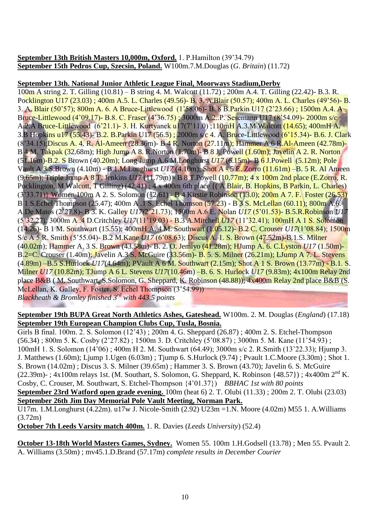**September 13th British Masters 10,000m, Oxford.** 1. P.Hamilton (39"34.79) **September 15th Pedros Cup, Szecsin, Poland.** W100m.7.M.Douglas (*G. Britain*) (11.72)

## **September 13th. National Junior Athletic League Final, Moorways Stadium,Derby**

100m A string 2. T. Gilling (10.81) – B string 4. M. Walcott (11.72) ; 200m A.4. T. Gilling (22.42)- B.3. R. Pocklington U17 (23.03) ; 400m A.5. L. Charles (49.56)- B. 3. A.Blair (50.57); 400m A. L. Charles (49"56)- B. 3. A. Blair (50"57); 800m A. 6. A Bruce-Littlewood (1"58.06)- B. 8 B.Parkin U17 (2"23.66) ; 1500m A.4. A Bruce-Littlewood (4"09.17)- B.8. C. Fraser (4"36.75) ; 3000m A.2..P. Sesemann U17 (8"54.09)- 2000m s/c A.2.A Bruce-Littlewood (6"21.1)- 3. H. Kurtyanek u17(7"11.0) ;110mH A.3.M Walcott (14.65); 400mH A. 3.B Hopkins u17 (55.43)- B.2. B.Parkin U17 (56.5) ; 2000m s/c 4. A. Bruce-Littlewood (6"15.34)- B.6. J. Clark (8"34.15);Discus A. 4. R. Al-Ameen (28.36m)- B 4 R. Norton (27.11m); Hammer A 6 R.Al-Ameen (42.78m)- B 4 M. Takpak (32.68m); High Jump A 8. R.Norton (1.70m)- B 8 J. Powell (1.60m); Javelin A 2. R. Norton (51.16m)-B.2. S Brown (40.20m); Long Jump A.6 M.Longhurst *U17* (6.15m)- B 6 J.Powell (5.12m); Pole Vault A 3.S.Brown (4.10m) - B 1.M.Longhurst *U17* (4.10m); Shot A - 5 E. Zorro (11.61m) –B. 5 R. Al Ameen (9.65m); Triple Jump A 8 T. Jenkins *U17* (11.79m) - B 8 T.Powell (10.77m); 4 x 100m 2nd place (E.Zorro, R. Pocklington, M Walcott, T Gilling) (42.41) ; 4 x 400m 6th place {( A Blair, B. Hopkins, B Parkin, L. Charles) (3"33.71)} Women 100m A 2. S. Solomon (12.61) - B 4 Kirstie Robinson (13.0); 200m A 7. F. Foster (26.53) B 1 S.Echel Thompson (25.47); 400m A .1 S. Echel Thomson (57.23) - B 3 S. McLellan (60.11); 800m A.6. A.De Matos (2"27.8)- B 3. K. Galley *U17(*2"21.73); 1500m A.6 E. Nolan *U17* (5"01.53)- B.5.R.Robinson *U17* (5"32.27); 3000m A .4 D.Critchley *U17*(11"19.03) - B.3 A.Mitchell *U17* (11"32.41); 100mH A 1 S. Solomon (14.26)- B 1 M. Southwart (15.55); 400mH A. 4 M. Southwart (1.05.12)- B.2 C. Crouser *U17*(1"08.84); 1500m S/c A 5 R. Smith (5"55.04)- B.2 M.Kane *U17* (6"08.63); Discus A. 1. S. Brown (47.52m)-B.1.S. Milner (40.02m); Hammer A. 3 S. Brown (43.58m)- B. 2. O. Jemiyo (41.28m); HJump A. 6. C.Lyston *U17* (1.50m)- B.2=C. Crouser (1.40m); Javelin A.3 S. McGuire (33.56m)- B. 5. S. Milner (26.21m); LJump A 7. L. Stevens (4.89m) –B.5 S.Hurlock *U17*(4.64m); PVault A 6 M. Southwart (2.15m); Shot A 1 S. Brown (13.77m) - B.1. S. Milner *U17* (10.82m); TJump A 6 L. Stevens *U17*(10.46m) –B. 6. S. Hurlock *U17* (9.83m); 4x100m Relay 2nd place B&B ( M. Southwart, S.Solomon, G. Sheppard, K. Robinson (48.88)); 4x400m Relay 2nd place B&B (S. McLellan, K. Galley, F. Foster, S. Echel Thompson (3"54.99)) *Blackheath & Bromley finished 3rd with 443.5 points*

**September 19th BUPA Great North Athletics Ashes, Gateshead.** W100m. 2. M. Douglas (*England*) (17.18) **September 19th European Champion Clubs Cup, Tusla, Bosnia.**

Girls B final. 100m. 2. S. Solomon (12"43) ; 200m 4. G. Sheppard (26.87) ; 400m 2. S. Etchel-Thompson (56.34) ; 800m 5. K. Cosby (2"27.82) ; 1500m 3. D. Critchley (5"08.87) ; 3000m 5. M. Kane (11"54.93) ; 100mH 1. S. Solomon (14"06) ; 400m H 2. M. Southwart (64.49); 3000m s/c 2. R.Smith (13"22.33); Hjump 3. J. Matthews (1.60m); Ljump 1.Ugen (6.03m) ; Tjump 6. S.Hurlock (9.74) ; Pvault 1.C.Moore (3.30m) ; Shot 1. S. Brown (14.02m) ; Discus 3. S. Milner (39.65m) ; Hammer 3. S. Brown (43.70); Javelin 6. S. McGuire  $(22.39m)$ - ; 4x100m relays 1st. (M. Southart, S. Solomon, G. Sheppard, K. Robinson {48.57}) ; 4x400m  $2<sup>nd</sup>$  K. Cosby, C. Crouser, M. Southwart, S. Etchel-Thompson {4"01.37}) *BBHAC 1st with 80 points* **September 23rd Watford open grade evening.** 100m (heat 6) 2. T. Olubi (11.33) ; 200m 2. T. Olubi (23.03) **September 26th Jim Day Memorial Pole Vault Meeting, Norman Park.** 

U17m. 1.M.Longhurst (4.22m). u17w J. Nicole-Smith (2.92) U23m =1.N. Moore (4.02m) M55 1. A.Williams (3.72m)

**October 7th Leeds Varsity match 400m.** 1. R. Davies (*Leeds University*) (52.4)

**October 13-18th World Masters Games, Sydney.** Women 55. 100m 1.H.Godsell (13.78) ; Men 55. Pvault 2. A. Williams (3.50m) ; mv45.1.D.Brand (57.17m) *complete results in December Courier*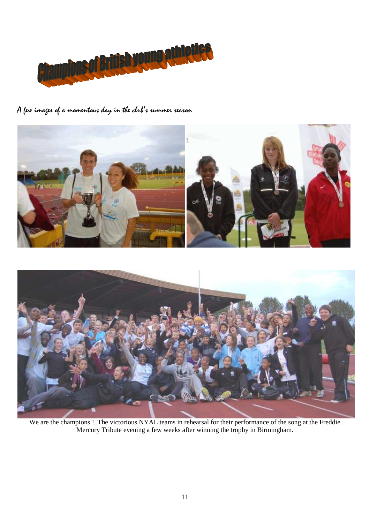

A few images of a momentous day in the club's summer season



We are the champions ! The victorious NYAL teams in rehearsal for their performance of the song at the Freddie Mercury Tribute evening a few weeks after winning the trophy in Birmingham.